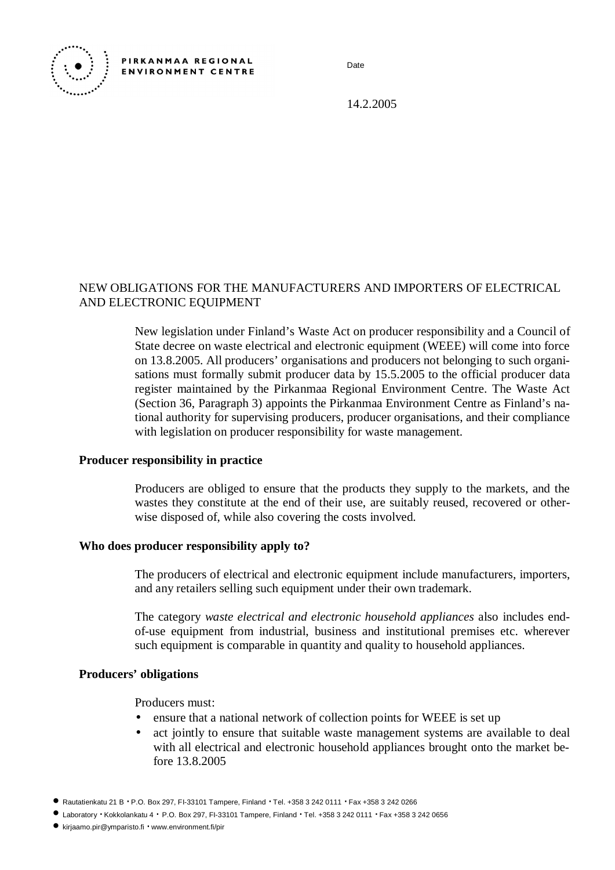

Date

14.2.2005

## NEW OBLIGATIONS FOR THE MANUFACTURERS AND IMPORTERS OF ELECTRICAL AND ELECTRONIC EQUIPMENT

New legislation under Finland's Waste Act on producer responsibility and a Council of State decree on waste electrical and electronic equipment (WEEE) will come into force on 13.8.2005. All producers' organisations and producers not belonging to such organisations must formally submit producer data by 15.5.2005 to the official producer data register maintained by the Pirkanmaa Regional Environment Centre. The Waste Act (Section 36, Paragraph 3) appoints the Pirkanmaa Environment Centre as Finland's national authority for supervising producers, producer organisations, and their compliance with legislation on producer responsibility for waste management.

#### **Producer responsibility in practice**

Producers are obliged to ensure that the products they supply to the markets, and the wastes they constitute at the end of their use, are suitably reused, recovered or otherwise disposed of, while also covering the costs involved.

## **Who does producer responsibility apply to?**

The producers of electrical and electronic equipment include manufacturers, importers, and any retailers selling such equipment under their own trademark.

The category *waste electrical and electronic household appliances* also includes endof-use equipment from industrial, business and institutional premises etc. wherever such equipment is comparable in quantity and quality to household appliances.

#### **Producers' obligations**

Producers must:

- ensure that a national network of collection points for WEEE is set up
- act jointly to ensure that suitable waste management systems are available to deal with all electrical and electronic household appliances brought onto the market before 13.8.2005
- Rautatienkatu 21 B ⋅ P.O. Box 297, FI-33101 Tampere, Finland ⋅ Tel. +358 3 242 0111 ⋅ Fax +358 3 242 0266
- Laboratory ⋅ Kokkolankatu 4 ⋅ P.O. Box 297, FI-33101 Tampere, Finland ⋅ Tel. +358 3 242 0111 ⋅ Fax +358 3 242 0656
- [kirjaamo.pir@ymparisto.fi](mailto:kirjaamo.pir@ymparisto.fi) ⋅ [www.environment.fi/pir](http://www.environment.fi/pir)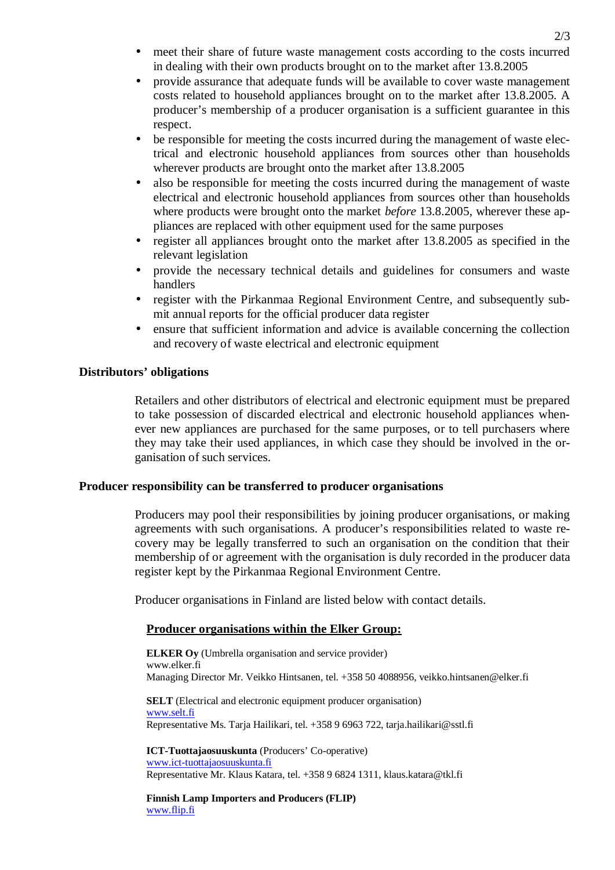- meet their share of future waste management costs according to the costs incurred in dealing with their own products brought on to the market after 13.8.2005
- provide assurance that adequate funds will be available to cover waste management costs related to household appliances brought on to the market after 13.8.2005. A producer's membership of a producer organisation is a sufficient guarantee in this respect.
- be responsible for meeting the costs incurred during the management of waste electrical and electronic household appliances from sources other than households wherever products are brought onto the market after 13.8.2005
- also be responsible for meeting the costs incurred during the management of waste electrical and electronic household appliances from sources other than households where products were brought onto the market *before* 13.8.2005, wherever these appliances are replaced with other equipment used for the same purposes
- register all appliances brought onto the market after 13.8.2005 as specified in the relevant legislation
- provide the necessary technical details and guidelines for consumers and waste handlers
- register with the Pirkanmaa Regional Environment Centre, and subsequently submit annual reports for the official producer data register
- ensure that sufficient information and advice is available concerning the collection and recovery of waste electrical and electronic equipment

## **Distributors' obligations**

Retailers and other distributors of electrical and electronic equipment must be prepared to take possession of discarded electrical and electronic household appliances whenever new appliances are purchased for the same purposes, or to tell purchasers where they may take their used appliances, in which case they should be involved in the organisation of such services.

## **Producer responsibility can be transferred to producer organisations**

Producers may pool their responsibilities by joining producer organisations, or making agreements with such organisations. A producer's responsibilities related to waste recovery may be legally transferred to such an organisation on the condition that their membership of or agreement with the organisation is duly recorded in the producer data register kept by the Pirkanmaa Regional Environment Centre.

Producer organisations in Finland are listed below with contact details.

# **Producer organisations within the Elker Group:**

**ELKER Oy** (Umbrella organisation and service provider) [www.elker.fi](http://www.elker.fi) Managing Director Mr. Veikko Hintsanen, tel. +358 50 4088956, [veikko.hintsanen@elker.fi](mailto:veikko.hintsanen@elker.fi)

**SELT** (Electrical and electronic equipment producer organisation) [www.selt.fi](http://www.selt.fi) Representative Ms. Tarja Hailikari, tel. +358 9 6963 722, [tarja.hailikari@sstl.fi](mailto:tarja.hailikari@sstl.fi)

**ICT-Tuottajaosuuskunta** (Producers' Co-operative) [www.ict-tuottajaosuuskunta.fi](http://www.ict-tuottajaosuuskunta.fi) Representative Mr. Klaus Katara, tel. +358 9 6824 1311, [klaus.katara@tkl.fi](mailto:klaus.katara@tkl.fi)

**Finnish Lamp Importers and Producers (FLIP)** [www.flip.fi](http://www.flip.fi)